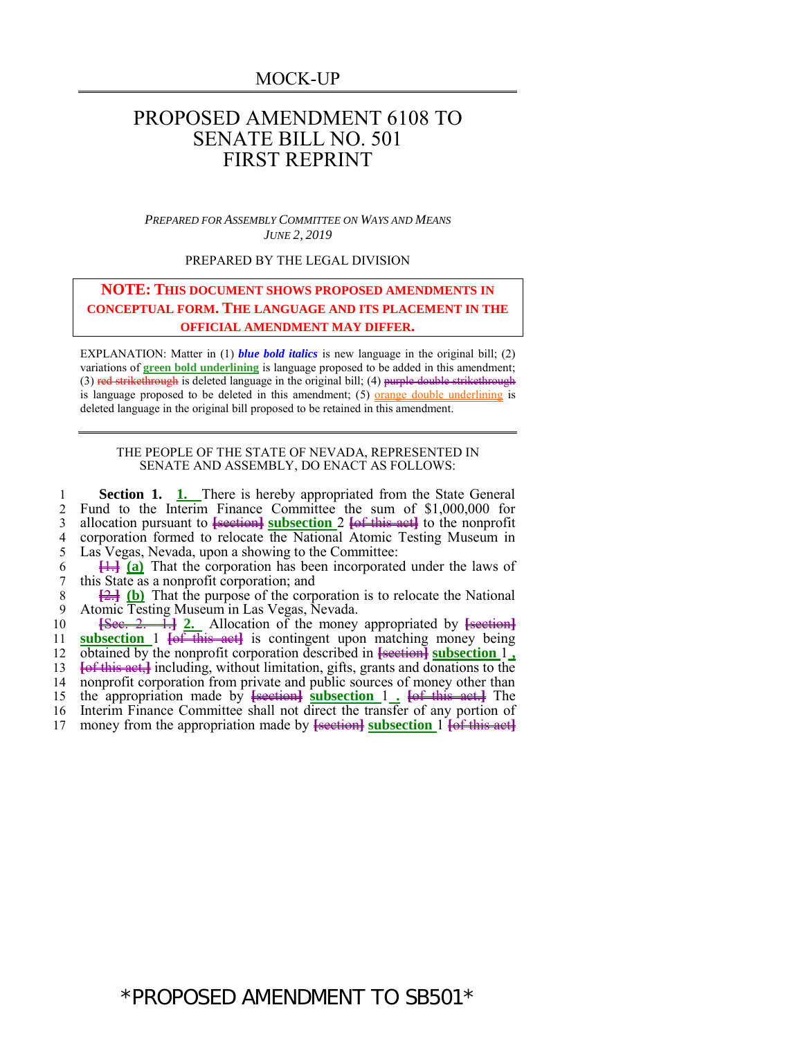MOCK-UP

## PROPOSED AMENDMENT 6108 TO SENATE BILL NO. 501 FIRST REPRINT

*PREPARED FOR ASSEMBLY COMMITTEE ON WAYS AND MEANS JUNE 2, 2019*

PREPARED BY THE LEGAL DIVISION

## **NOTE: THIS DOCUMENT SHOWS PROPOSED AMENDMENTS IN CONCEPTUAL FORM. THE LANGUAGE AND ITS PLACEMENT IN THE OFFICIAL AMENDMENT MAY DIFFER.**

EXPLANATION: Matter in (1) *blue bold italics* is new language in the original bill; (2) variations of **green bold underlining** is language proposed to be added in this amendment; (3) red strikethrough is deleted language in the original bill; (4) purple double strikethrough is language proposed to be deleted in this amendment; (5) <u>orange double underlining</u> is deleted language in the original bill proposed to be retained in this amendment.

## THE PEOPLE OF THE STATE OF NEVADA, REPRESENTED IN SENATE AND ASSEMBLY, DO ENACT AS FOLLOWS:

 **Section 1. 1.** There is hereby appropriated from the State General 2 Fund to the Interim Finance Committee the sum of  $$1,000,000$  for allocation pursuant to <del>[section]</del> subsection 2 <del>[of this act]</del> to the nonprofit allocation pursuant to **[**section**] subsection** 2 **[**of this act**]** to the nonprofit corporation formed to relocate the National Atomic Testing Museum in Las Vegas, Nevada, upon a showing to the Committee:

6 **[**1.**] (a)** That the corporation has been incorporated under the laws of 7 this State as a nonprofit corporation; and

8  $\frac{[2]}{[2]}$  (b) That the purpose of the corporation is to relocate the National 9 Atomic Testing Museum in Las Vegas Nevada 9 Atomic Testing Museum in Las Vegas, Nevada.

 **[**Sec. 2. 1.**] 2.** Allocation of the money appropriated by **[**section**] subsection** 1 **[**of this act**]** is contingent upon matching money being obtained by the nonprofit corporation described in **[**section**] subsection** 1 **, [**of this act,**]** including, without limitation, gifts, grants and donations to the nonprofit corporation from private and public sources of money other than the appropriation made by **[**section**] subsection** 1 **. [**of this act.**]** The Interim Finance Committee shall not direct the transfer of any portion of money from the appropriation made by **[**section**] subsection** 1 **[**of this act**]**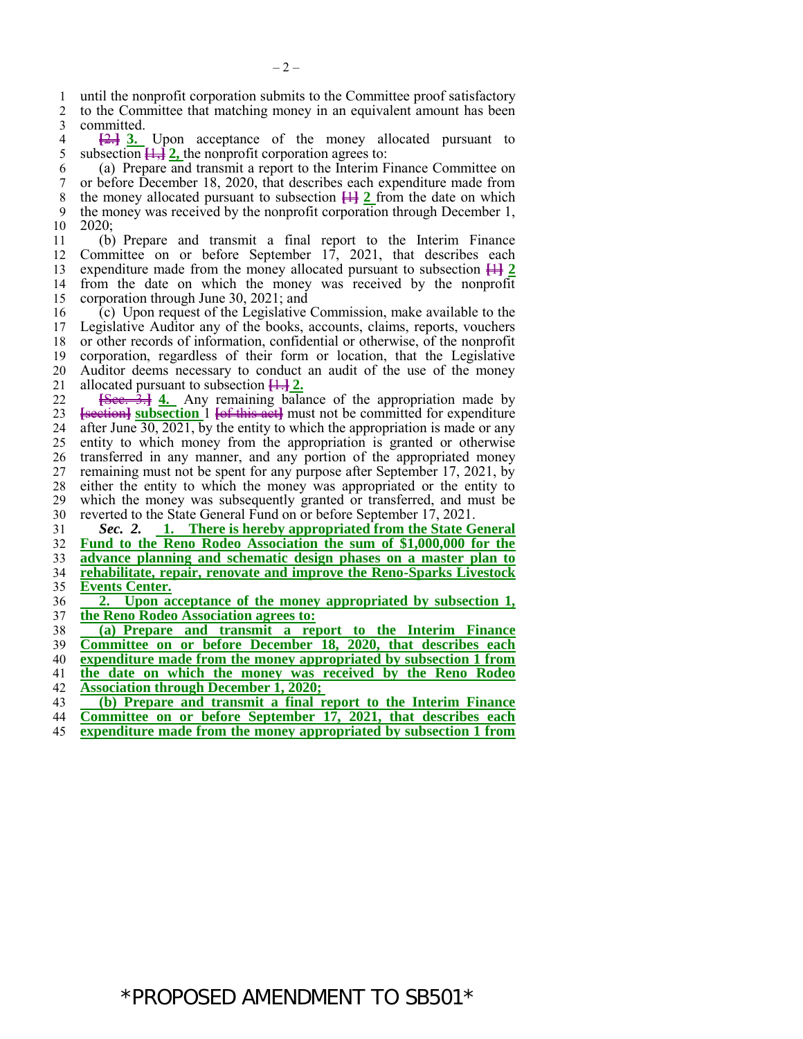until the nonprofit corporation submits to the Committee proof satisfactory to the Committee that matching money in an equivalent amount has been

3 committed.<br>4  $\frac{24}{3}$ .  $\frac{2}{2}$   $\frac{3}{2}$  Upon acceptance of the money allocated pursuant to subsection  $\frac{1}{2}$ , the nonprofit corporation agrees to: subsection  $\overline{+}\overline{+}\overline{+}$  **2**, the nonprofit corporation agrees to:

 (a) Prepare and transmit a report to the Interim Finance Committee on or before December 18, 2020, that describes each expenditure made from the money allocated pursuant to subsection **[**1**] 2** from the date on which 9 the money was received by the nonprofit corporation through December 1, 10 2020:  $2020:$ 

 (b) Prepare and transmit a final report to the Interim Finance 12 Committee on or before September 17, 2021, that describes each expenditure made from the money allocated pursuant to subsection  $\frac{112}{2}$ expenditure made from the money allocated pursuant to subsection  $\frac{11}{2}$  from the date on which the money was received by the nonprofit 15 corporation through June 30, 2021; and<br>16 (c) Upon request of the Legislative

16 (c) Upon request of the Legislative Commission, make available to the 17 Legislative Auditor any of the books, accounts, claims, reports, vouchers Legislative Auditor any of the books, accounts, claims, reports, vouchers or other records of information, confidential or otherwise, of the nonprofit corporation, regardless of their form or location, that the Legislative Auditor deems necessary to conduct an audit of the use of the money 21 allocated pursuant to subsection  $\frac{11}{2}$ .<br>22 <del>**Sec.** 3.1</del> 4. Any remaining bala

**Exec.** 3.1 4. Any remaining balance of the appropriation made by **[**section**] subsection** 1 **[**of this act**]** must not be committed for expenditure 24 after June  $\overline{30, 2021, 5}$  by the entity to which the appropriation is made or any entity to which money from the appropriation is granted or otherwise entity to which money from the appropriation is granted or otherwise transferred in any manner, and any portion of the appropriated money 27 remaining must not be spent for any purpose after September 17, 2021, by 28 either the entity to which the money was appropriated or the entity to either the entity to which the money was appropriated or the entity to which the money was subsequently granted or transferred, and must be 30 reverted to the State General Fund on or before September 17, 2021.<br>31 Sec. 2. 1. There is hereby appropriated from the State G

 *Sec. 2.* **1. There is hereby appropriated from the State General Fund to the Reno Rodeo Association the sum of \$1,000,000 for the advance planning and schematic design phases on a master plan to rehabilitate, repair, renovate and improve the Reno-Sparks Livestock Events Center.**

 **2. Upon acceptance of the money appropriated by subsection 1, the Reno Rodeo Association agrees to:**

 **(a) Prepare and transmit a report to the Interim Finance Committee on or before December 18, 2020, that describes each** 

**expenditure made from the money appropriated by subsection 1 from** 

**the date on which the money was received by the Reno Rodeo** 

**Association through December 1, 2020;** 

**(b) Prepare and transmit a final report to the Interim Finance** 

- **Committee on or before September 17, 2021, that describes each**
- **expenditure made from the money appropriated by subsection 1 from**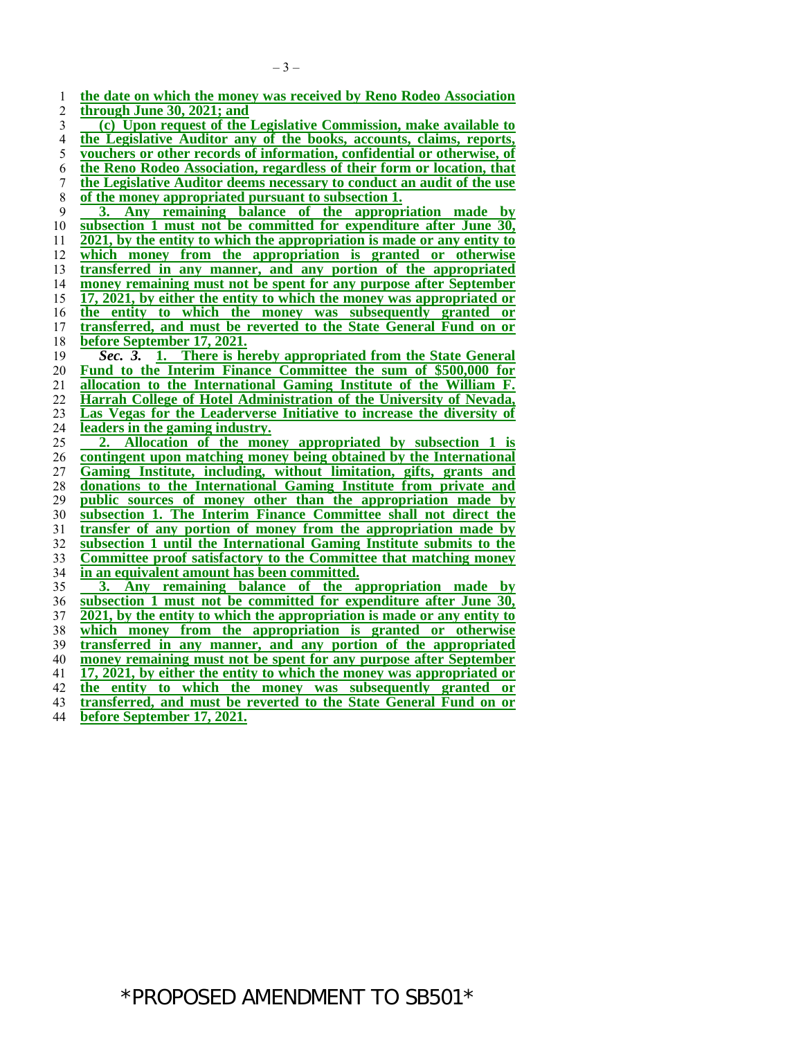**the date on which the money was received by Reno Rodeo Association**<br>2 **through June 30, 2021: and through June 30, 2021; and**<br>3 **(c)** Upon request of the **(c) Upon request of the Legislative Commission, make available to**  <sup>4</sup> **the Legislative Auditor any of the books, accounts, claims, reports, <br>
<u>s</u> vouchers or other records of information, confidential or otherwise, of vouchers or other records of information, confidential or otherwise, of the Reno Rodeo Association, regardless of their form or location, that the Legislative Auditor deems necessary to conduct an audit of the use of the money appropriated pursuant to subsection 1.**<br>9 **3.** Any remaining balance of the appropri **3. Any remaining balance of the appropriation made by subsection 1 must not be committed for expenditure after June 30, 2021, by the entity to which the appropriation is made or any entity to which money from the appropriation is granted or otherwise transferred in any manner, and any portion of the appropriated <u>money remaining must not be spent for any purpose after September</u> 15 <b>17, 2021, by either the entity to which the money was appropriated or 17, 2021, by either the entity to which the money was appropriated or the entity to which the money was subsequently granted or transferred, and must be reverted to the State General Fund on or before September 17, 2021.** *Sec. 3.* **1. There is hereby appropriated from the State General Fund to the Interim Finance Committee the sum of \$500,000 for allocation to the International Gaming Institute of the William F. Harrah College of Hotel Administration of the University of Nevada, Las Vegas for the Leaderverse Initiative to increase the diversity of <u>leaders in the gaming industry.</u><br>25 2. Allocation of the mon 2. Allocation of the money appropriated by subsection 1 is contingent upon matching money being obtained by the International Gaming Institute, including, without limitation, gifts, grants and donations to the International Gaming Institute from private and public sources of money other than the appropriation made by subsection 1. The Interim Finance Committee shall not direct the transfer of any portion of money from the appropriation made by subsection 1 until the International Gaming Institute submits to the Committee proof satisfactory to the Committee that matching money in an equivalent amount has been committed. 3. Any remaining balance of the appropriation made by subsection 1 must not be committed for expenditure after June 30, 2021, by the entity to which the appropriation is made or any entity to which money from the appropriation is granted or otherwise transferred in any manner, and any portion of the appropriated money remaining must not be spent for any purpose after September 17, 2021, by either the entity to which the money was appropriated or the entity to which the money was subsequently granted or transferred, and must be reverted to the State General Fund on or** 

**before September 17, 2021.**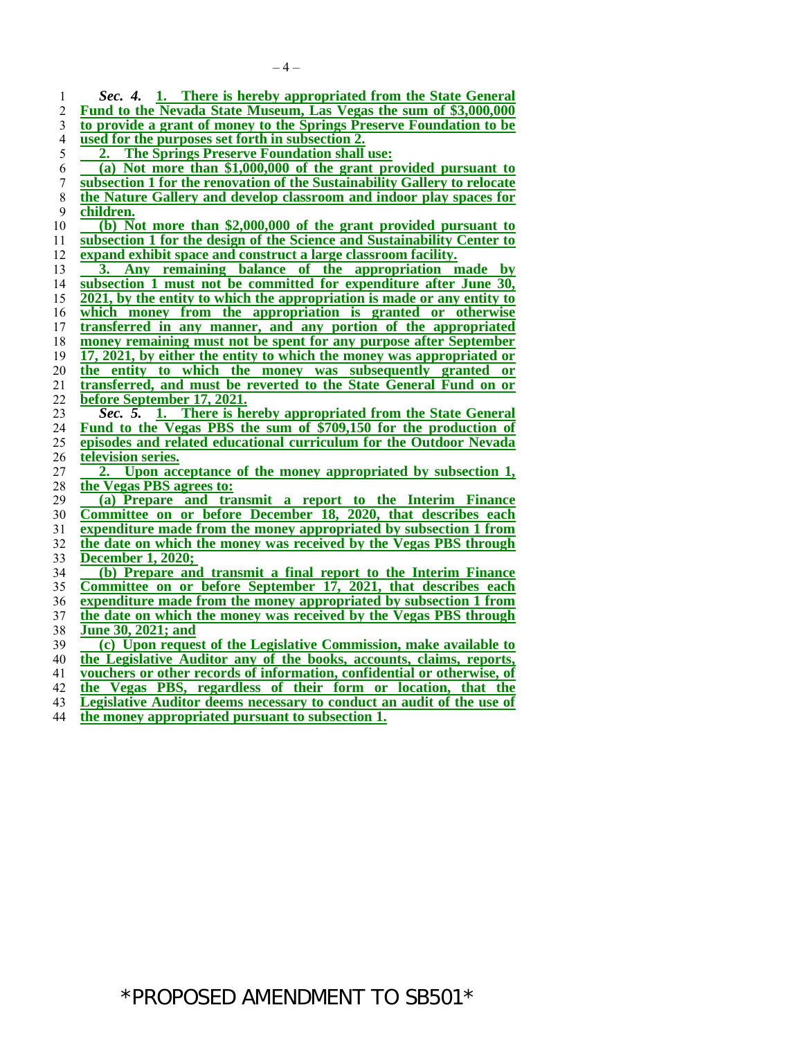*Sec. 4.* **1. There is hereby appropriated from the State General**  Fund to the Nevada State Museum, Las Vegas the sum of \$3,000,000 **to provide a grant of money to the Springs Preserve Foundation to be used for the purposes set forth in subsection 2. 2. The Springs Preserve Foundation shall use: (a) Not more than \$1,000,000 of the grant provided pursuant to subsection 1 for the renovation of the Sustainability Gallery to relocate the Nature Gallery and develop classroom and indoor play spaces for children. children. (b) Not more than \$2,000,000 of the grant provided pursuant to subsection 1 for the design of the Science and Sustainability Center to expand exhibit space and construct a large classroom facility. 3. Any remaining balance of the appropriation made by subsection 1 must not be committed for expenditure after June 30, 2021, by the entity to which the appropriation is made or any entity to which money from the appropriation is granted or otherwise transferred in any manner, and any portion of the appropriated money remaining must not be spent for any purpose after September 17, 2021, by either the entity to which the money was appropriated or the entity to which the money was subsequently granted or transferred, and must be reverted to the State General Fund on or before September 17, 2021.** *Sec. 5.* **1. There is hereby appropriated from the State General Fund to the Vegas PBS the sum of \$709,150 for the production of episodes and related educational curriculum for the Outdoor Nevada television series. 2. Upon acceptance of the money appropriated by subsection 1, the Vegas PBS agrees to: (a) Prepare and transmit a report to the Interim Finance Committee on or before December 18, 2020, that describes each expenditure made from the money appropriated by subsection 1 from the date on which the money was received by the Vegas PBS through December 1, 2020; (b) Prepare and transmit a final report to the Interim Finance Committee on or before September 17, 2021, that describes each expenditure made from the money appropriated by subsection 1 from the date on which the money was received by the Vegas PBS through June 30, 2021; and (c) Upon request of the Legislative Commission, make available to the Legislative Auditor any of the books, accounts, claims, reports, vouchers or other records of information, confidential or otherwise, of the Vegas PBS, regardless of their form or location, that the** 

- **Legislative Auditor deems necessary to conduct an audit of the use of**
- **the money appropriated pursuant to subsection 1.**